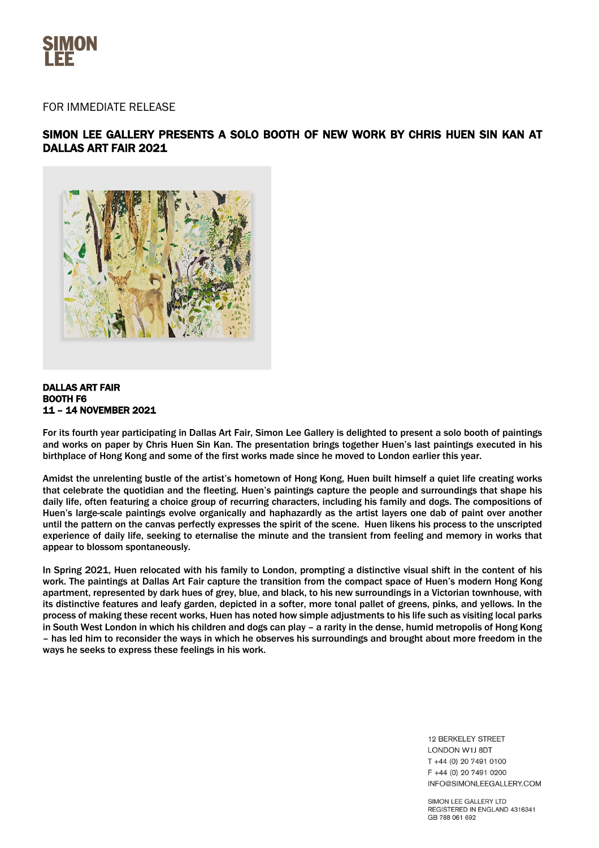

# FOR IMMEDIATE RELEASE

# SIMON LEE GALLERY PRESENTS A SOLO BOOTH OF NEW WORK BY CHRIS HUEN SIN KAN AT DALLAS ART FAIR 2021



## DALLAS ART FAIR BOOTH F6 11 – 14 NOVEMBER 2021

For its fourth year participating in Dallas Art Fair, Simon Lee Gallery is delighted to present a solo booth of paintings and works on paper by Chris Huen Sin Kan. The presentation brings together Huen's last paintings executed in his birthplace of Hong Kong and some of the first works made since he moved to London earlier this year.

Amidst the unrelenting bustle of the artist's hometown of Hong Kong, Huen built himself a quiet life creating works that celebrate the quotidian and the fleeting. Huen's paintings capture the people and surroundings that shape his daily life, often featuring a choice group of recurring characters, including his family and dogs. The compositions of Huen's large-scale paintings evolve organically and haphazardly as the artist layers one dab of paint over another until the pattern on the canvas perfectly expresses the spirit of the scene. Huen likens his process to the unscripted experience of daily life, seeking to eternalise the minute and the transient from feeling and memory in works that appear to blossom spontaneously.

In Spring 2021, Huen relocated with his family to London, prompting a distinctive visual shift in the content of his work. The paintings at Dallas Art Fair capture the transition from the compact space of Huen's modern Hong Kong apartment, represented by dark hues of grey, blue, and black, to his new surroundings in a Victorian townhouse, with its distinctive features and leafy garden, depicted in a softer, more tonal pallet of greens, pinks, and yellows. In the process of making these recent works, Huen has noted how simple adjustments to his life such as visiting local parks in South West London in which his children and dogs can play – a rarity in the dense, humid metropolis of Hong Kong – has led him to reconsider the ways in which he observes his surroundings and brought about more freedom in the ways he seeks to express these feelings in his work.

> 12 BERKELEY STREET **LONDON W1LBDT**  $T + 44(0)$  20 7491 0100 F +44 (0) 20 7491 0200 INFO@SIMONLEEGALLERY.COM

SIMON LEE GALLERY LTD REGISTERED IN ENGLAND 4316341 GB 788 061 692